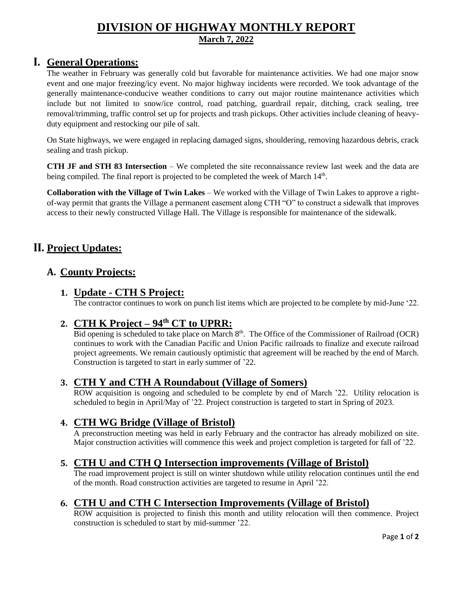### **DIVISION OF HIGHWAY MONTHLY REPORT March 7, 2022**

### **I. General Operations:**

The weather in February was generally cold but favorable for maintenance activities. We had one major snow event and one major freezing/icy event. No major highway incidents were recorded. We took advantage of the generally maintenance-conducive weather conditions to carry out major routine maintenance activities which include but not limited to snow/ice control, road patching, guardrail repair, ditching, crack sealing, tree removal/trimming, traffic control set up for projects and trash pickups. Other activities include cleaning of heavyduty equipment and restocking our pile of salt.

On State highways, we were engaged in replacing damaged signs, shouldering, removing hazardous debris, crack sealing and trash pickup.

**CTH JF and STH 83 Intersection** – We completed the site reconnaissance review last week and the data are being compiled. The final report is projected to be completed the week of March 14<sup>th</sup>.

**Collaboration with the Village of Twin Lakes** – We worked with the Village of Twin Lakes to approve a rightof-way permit that grants the Village a permanent easement along CTH "O" to construct a sidewalk that improves access to their newly constructed Village Hall. The Village is responsible for maintenance of the sidewalk.

# **II. Project Updates:**

### **A. County Projects:**

#### **1. Update - CTH S Project:**

The contractor continues to work on punch list items which are projected to be complete by mid-June '22.

# **2. CTH K Project – 94th CT to UPRR:**

Bid opening is scheduled to take place on March 8<sup>th</sup>. The Office of the Commissioner of Railroad (OCR) continues to work with the Canadian Pacific and Union Pacific railroads to finalize and execute railroad project agreements. We remain cautiously optimistic that agreement will be reached by the end of March. Construction is targeted to start in early summer of '22.

#### **3. CTH Y and CTH A Roundabout (Village of Somers)**

ROW acquisition is ongoing and scheduled to be complete by end of March '22. Utility relocation is scheduled to begin in April/May of '22. Project construction is targeted to start in Spring of 2023.

### **4. CTH WG Bridge (Village of Bristol)**

A preconstruction meeting was held in early February and the contractor has already mobilized on site. Major construction activities will commence this week and project completion is targeted for fall of '22.

### **5. CTH U and CTH Q Intersection improvements (Village of Bristol)**

The road improvement project is still on winter shutdown while utility relocation continues until the end of the month. Road construction activities are targeted to resume in April '22.

#### **6. CTH U and CTH C Intersection Improvements (Village of Bristol)**

ROW acquisition is projected to finish this month and utility relocation will then commence. Project construction is scheduled to start by mid-summer '22.